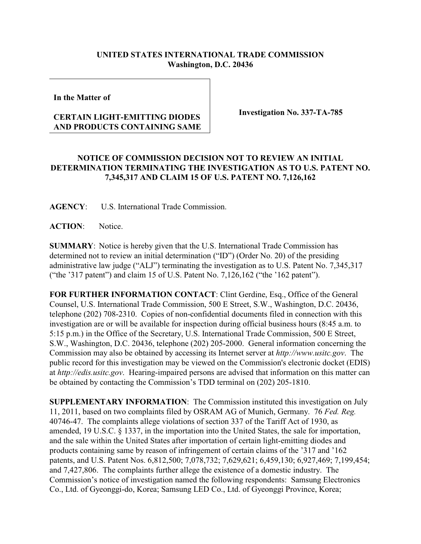## **UNITED STATES INTERNATIONAL TRADE COMMISSION Washington, D.C. 20436**

**In the Matter of** 

## **CERTAIN LIGHT-EMITTING DIODES AND PRODUCTS CONTAINING SAME**

**Investigation No. 337-TA-785**

## **NOTICE OF COMMISSION DECISION NOT TO REVIEW AN INITIAL DETERMINATION TERMINATING THE INVESTIGATION AS TO U.S. PATENT NO. 7,345,317 AND CLAIM 15 OF U.S. PATENT NO. 7,126,162**

**AGENCY**: U.S. International Trade Commission.

**ACTION**: Notice.

**SUMMARY**: Notice is hereby given that the U.S. International Trade Commission has determined not to review an initial determination ("ID") (Order No. 20) of the presiding administrative law judge ("ALJ") terminating the investigation as to U.S. Patent No. 7,345,317 ("the '317 patent") and claim 15 of U.S. Patent No. 7,126,162 ("the '162 patent").

**FOR FURTHER INFORMATION CONTACT**: Clint Gerdine, Esq., Office of the General Counsel, U.S. International Trade Commission, 500 E Street, S.W., Washington, D.C. 20436, telephone (202) 708-2310. Copies of non-confidential documents filed in connection with this investigation are or will be available for inspection during official business hours (8:45 a.m. to 5:15 p.m.) in the Office of the Secretary, U.S. International Trade Commission, 500 E Street, S.W., Washington, D.C. 20436, telephone (202) 205-2000. General information concerning the Commission may also be obtained by accessing its Internet server at *http://www.usitc.gov*. The public record for this investigation may be viewed on the Commission's electronic docket (EDIS) at *http://edis.usitc.gov*. Hearing-impaired persons are advised that information on this matter can be obtained by contacting the Commission's TDD terminal on (202) 205-1810.

**SUPPLEMENTARY INFORMATION**: The Commission instituted this investigation on July 11, 2011, based on two complaints filed by OSRAM AG of Munich, Germany. 76 *Fed. Reg.* 40746-47. The complaints allege violations of section 337 of the Tariff Act of 1930, as amended, 19 U.S.C. § 1337, in the importation into the United States, the sale for importation, and the sale within the United States after importation of certain light-emitting diodes and products containing same by reason of infringement of certain claims of the '317 and '162 patents, and U.S. Patent Nos. 6,812,500; 7,078,732; 7,629,621; 6,459,130; 6,927,469; 7,199,454; and 7,427,806. The complaints further allege the existence of a domestic industry. The Commission's notice of investigation named the following respondents: Samsung Electronics Co., Ltd. of Gyeonggi-do, Korea; Samsung LED Co., Ltd. of Gyeonggi Province, Korea;